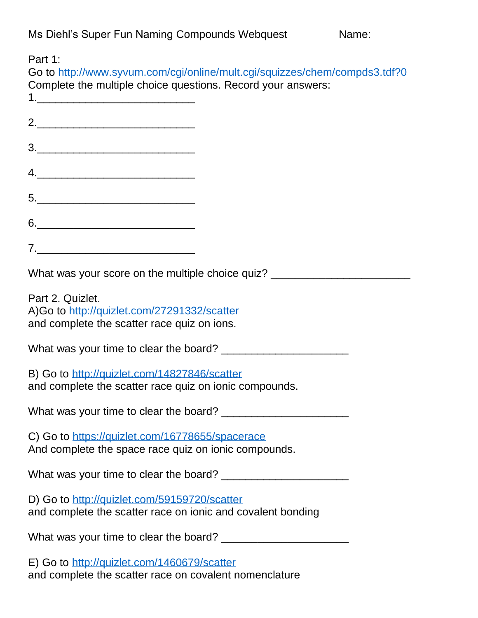| Part 1:<br>Go to http://www.syvum.com/cgi/online/mult.cgi/squizzes/chem/compds3.tdf?0<br>Complete the multiple choice questions. Record your answers:                                                                                                                                                                                                                                                                                                                                                                                                                         |
|-------------------------------------------------------------------------------------------------------------------------------------------------------------------------------------------------------------------------------------------------------------------------------------------------------------------------------------------------------------------------------------------------------------------------------------------------------------------------------------------------------------------------------------------------------------------------------|
|                                                                                                                                                                                                                                                                                                                                                                                                                                                                                                                                                                               |
| $\begin{array}{c c c c c} \hline \rule{0pt}{16pt} \rule{0pt}{2.5ex} \rule{0pt}{2.5ex} \rule{0pt}{2.5ex} \rule{0pt}{2.5ex} \rule{0pt}{2.5ex} \rule{0pt}{2.5ex} \rule{0pt}{2.5ex} \rule{0pt}{2.5ex} \rule{0pt}{2.5ex} \rule{0pt}{2.5ex} \rule{0pt}{2.5ex} \rule{0pt}{2.5ex} \rule{0pt}{2.5ex} \rule{0pt}{2.5ex} \rule{0pt}{2.5ex} \rule{0pt}{2.5ex} \rule{0pt}{2.5ex} \rule{0pt$                                                                                                                                                                                                |
|                                                                                                                                                                                                                                                                                                                                                                                                                                                                                                                                                                               |
|                                                                                                                                                                                                                                                                                                                                                                                                                                                                                                                                                                               |
|                                                                                                                                                                                                                                                                                                                                                                                                                                                                                                                                                                               |
| $\begin{tabular}{c} $7$ & \hspace{1.5cm} \begin{tabular}{@{}c@{}} \textbf{\textcolor{blue}{\bf \textcolor{blue}{\bf \textcolor{blue}{\bf \textcolor{blue}{\bf \textcolor{blue}{\bf \textcolor{blue}{\bf \textcolor{blue}{\bf \textcolor{blue}{\bf \textcolor{blue}{\bf \textcolor{blue}{\bf \textcolor{blue}{\bf \textcolor{blue}{\bf \textcolor{blue}{\bf \textcolor{blue}{\bf \textcolor{blue}{\bf \textcolor{blue}{\bf \textcolor{blue}{\bf \textcolor{blue}{\bf \textcolor{blue}{\bf \textcolor{blue}{\bf \textcolor{blue}{\bf \textcolor{blue}{\bf \textcolor{blue}{\bf$ |
| What was your score on the multiple choice quiz? _______________________________                                                                                                                                                                                                                                                                                                                                                                                                                                                                                              |
| Part 2. Quizlet.<br>A)Go to http://quizlet.com/27291332/scatter<br>and complete the scatter race quiz on ions.                                                                                                                                                                                                                                                                                                                                                                                                                                                                |
|                                                                                                                                                                                                                                                                                                                                                                                                                                                                                                                                                                               |
| B) Go to http://quizlet.com/14827846/scatter<br>and complete the scatter race quiz on ionic compounds.                                                                                                                                                                                                                                                                                                                                                                                                                                                                        |
|                                                                                                                                                                                                                                                                                                                                                                                                                                                                                                                                                                               |
| C) Go to https://quizlet.com/16778655/spacerace<br>And complete the space race quiz on ionic compounds.                                                                                                                                                                                                                                                                                                                                                                                                                                                                       |
|                                                                                                                                                                                                                                                                                                                                                                                                                                                                                                                                                                               |
| D) Go to http://quizlet.com/59159720/scatter<br>and complete the scatter race on ionic and covalent bonding                                                                                                                                                                                                                                                                                                                                                                                                                                                                   |
|                                                                                                                                                                                                                                                                                                                                                                                                                                                                                                                                                                               |
| E) Go to http://quizlet.com/1460679/scatter<br>and complete the scatter race on covalent nomenclature                                                                                                                                                                                                                                                                                                                                                                                                                                                                         |